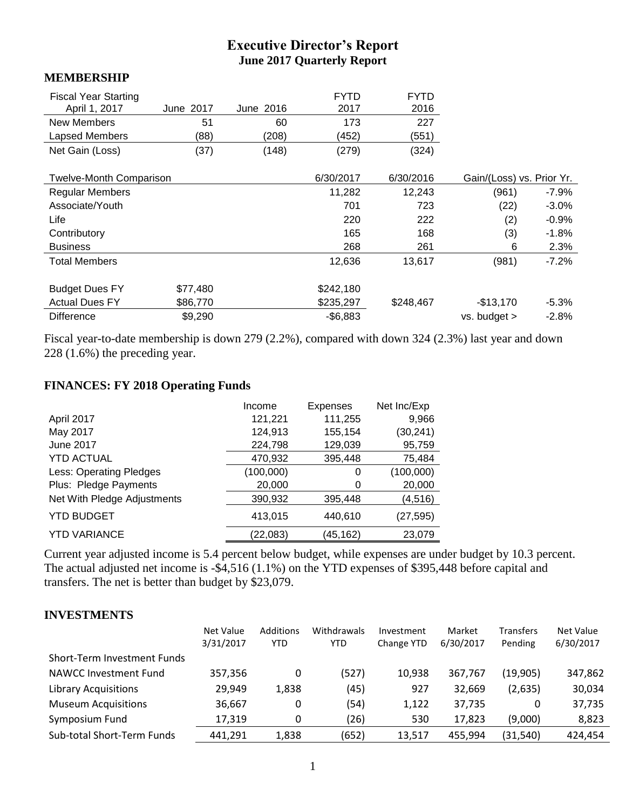# **Executive Director's Report June 2017 Quarterly Report**

#### **MEMBERSHIP**

| <b>Fiscal Year Starting</b><br>April 1, 2017 | June 2017 | June 2016 | <b>FYTD</b><br>2017 | <b>FYTD</b><br>2016 |                           |         |
|----------------------------------------------|-----------|-----------|---------------------|---------------------|---------------------------|---------|
| New Members                                  | 51        | 60        | 173                 | 227                 |                           |         |
| Lapsed Members                               | (88)      | (208)     | (452)               | (551)               |                           |         |
| Net Gain (Loss)                              | (37)      | (148)     | (279)               | (324)               |                           |         |
|                                              |           |           |                     |                     |                           |         |
| <b>Twelve-Month Comparison</b>               |           |           | 6/30/2017           | 6/30/2016           | Gain/(Loss) vs. Prior Yr. |         |
| <b>Regular Members</b>                       |           |           | 11,282              | 12,243              | (961)                     | $-7.9%$ |
| Associate/Youth                              |           |           | 701                 | 723                 | (22)                      | $-3.0%$ |
| Life                                         |           |           | 220                 | 222                 | (2)                       | $-0.9%$ |
| Contributory                                 |           |           | 165                 | 168                 | (3)                       | -1.8%   |
| <b>Business</b>                              |           |           | 268                 | 261                 | 6                         | 2.3%    |
| <b>Total Members</b>                         |           |           | 12,636              | 13,617              | (981)                     | $-7.2%$ |
|                                              |           |           |                     |                     |                           |         |
| <b>Budget Dues FY</b>                        | \$77,480  |           | \$242,180           |                     |                           |         |
| <b>Actual Dues FY</b>                        | \$86,770  |           | \$235,297           | \$248,467           | $-$13,170$                | $-5.3%$ |
| <b>Difference</b>                            | \$9,290   |           | $-$6,883$           |                     | $vs.$ budget $>$          | $-2.8%$ |

Fiscal year-to-date membership is down 279 (2.2%), compared with down 324 (2.3%) last year and down 228 (1.6%) the preceding year.

### **FINANCES: FY 2018 Operating Funds**

|                                | Income    | <b>Expenses</b> | Net Inc/Exp |
|--------------------------------|-----------|-----------------|-------------|
| April 2017                     | 121,221   | 111,255         | 9,966       |
| May 2017                       | 124,913   | 155,154         | (30, 241)   |
| <b>June 2017</b>               | 224,798   | 129,039         | 95,759      |
| <b>YTD ACTUAL</b>              | 470,932   | 395,448         | 75,484      |
| <b>Less: Operating Pledges</b> | (100,000) | 0               | (100,000)   |
| Plus: Pledge Payments          | 20,000    | 0               | 20,000      |
| Net With Pledge Adjustments    | 390,932   | 395,448         | (4, 516)    |
| <b>YTD BUDGET</b>              | 413.015   | 440.610         | (27,595)    |
| <b>YTD VARIANCE</b>            | (22,083)  | (45, 162)       | 23,079      |

Current year adjusted income is 5.4 percent below budget, while expenses are under budget by 10.3 percent. The actual adjusted net income is -\$4,516 (1.1%) on the YTD expenses of \$395,448 before capital and transfers. The net is better than budget by \$23,079.

#### **INVESTMENTS**

|                              | Net Value | <b>Additions</b> | Withdrawals | Investment | Market    | <b>Transfers</b> | Net Value |
|------------------------------|-----------|------------------|-------------|------------|-----------|------------------|-----------|
|                              | 3/31/2017 | <b>YTD</b>       | <b>YTD</b>  | Change YTD | 6/30/2017 | Pending          | 6/30/2017 |
| Short-Term Investment Funds  |           |                  |             |            |           |                  |           |
| <b>NAWCC Investment Fund</b> | 357,356   | 0                | (527)       | 10,938     | 367.767   | (19,905)         | 347,862   |
| <b>Library Acquisitions</b>  | 29,949    | 1,838            | (45)        | 927        | 32,669    | (2,635)          | 30,034    |
| <b>Museum Acquisitions</b>   | 36,667    | 0                | (54)        | 1,122      | 37,735    | 0                | 37,735    |
| Symposium Fund               | 17,319    | 0                | (26)        | 530        | 17,823    | (9,000)          | 8,823     |
| Sub-total Short-Term Funds   | 441,291   | 1,838            | (652)       | 13,517     | 455.994   | (31, 540)        | 424,454   |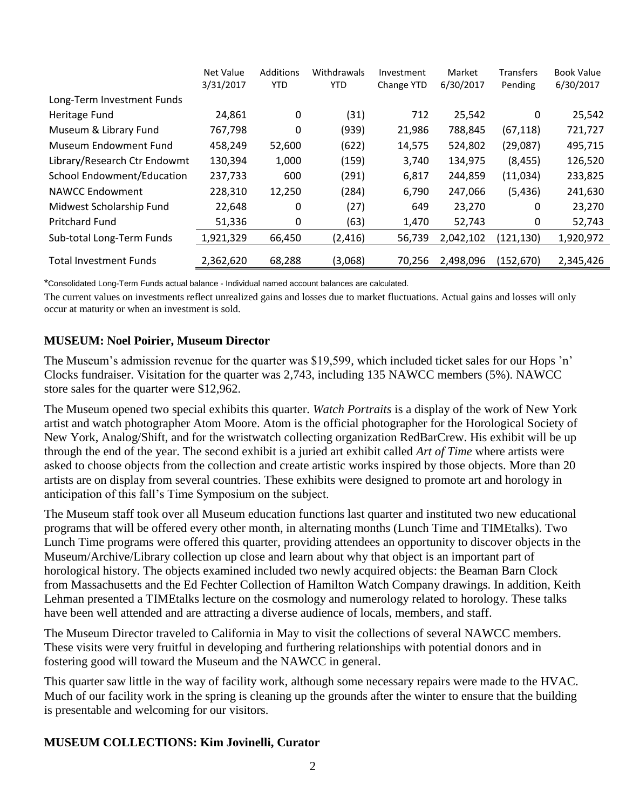|                                   | Net Value<br>3/31/2017 | <b>Additions</b><br><b>YTD</b> | Withdrawals<br><b>YTD</b> | Investment<br>Change YTD | Market<br>6/30/2017 | <b>Transfers</b><br>Pending | <b>Book Value</b><br>6/30/2017 |
|-----------------------------------|------------------------|--------------------------------|---------------------------|--------------------------|---------------------|-----------------------------|--------------------------------|
| Long-Term Investment Funds        |                        |                                |                           |                          |                     |                             |                                |
| Heritage Fund                     | 24,861                 | 0                              | (31)                      | 712                      | 25,542              | 0                           | 25,542                         |
| Museum & Library Fund             | 767,798                | 0                              | (939)                     | 21,986                   | 788,845             | (67, 118)                   | 721,727                        |
| Museum Endowment Fund             | 458,249                | 52,600                         | (622)                     | 14,575                   | 524,802             | (29,087)                    | 495,715                        |
| Library/Research Ctr Endowmt      | 130,394                | 1,000                          | (159)                     | 3,740                    | 134,975             | (8, 455)                    | 126,520                        |
| <b>School Endowment/Education</b> | 237,733                | 600                            | (291)                     | 6,817                    | 244,859             | (11,034)                    | 233,825                        |
| <b>NAWCC Endowment</b>            | 228,310                | 12,250                         | (284)                     | 6,790                    | 247,066             | (5, 436)                    | 241,630                        |
| Midwest Scholarship Fund          | 22,648                 | 0                              | (27)                      | 649                      | 23,270              | 0                           | 23,270                         |
| <b>Pritchard Fund</b>             | 51,336                 | 0                              | (63)                      | 1,470                    | 52,743              | 0                           | 52,743                         |
| Sub-total Long-Term Funds         | 1,921,329              | 66,450                         | (2, 416)                  | 56,739                   | 2,042,102           | (121, 130)                  | 1,920,972                      |
| <b>Total Investment Funds</b>     | 2,362,620              | 68,288                         | (3,068)                   | 70.256                   | 2.498.096           | (152, 670)                  | 2,345,426                      |

\*Consolidated Long-Term Funds actual balance - Individual named account balances are calculated.

The current values on investments reflect unrealized gains and losses due to market fluctuations. Actual gains and losses will only occur at maturity or when an investment is sold.

#### **MUSEUM: Noel Poirier, Museum Director**

The Museum's admission revenue for the quarter was \$19,599, which included ticket sales for our Hops 'n' Clocks fundraiser. Visitation for the quarter was 2,743, including 135 NAWCC members (5%). NAWCC store sales for the quarter were \$12,962.

The Museum opened two special exhibits this quarter. *Watch Portraits* is a display of the work of New York artist and watch photographer Atom Moore. Atom is the official photographer for the Horological Society of New York, Analog/Shift, and for the wristwatch collecting organization RedBarCrew. His exhibit will be up through the end of the year. The second exhibit is a juried art exhibit called *Art of Time* where artists were asked to choose objects from the collection and create artistic works inspired by those objects. More than 20 artists are on display from several countries. These exhibits were designed to promote art and horology in anticipation of this fall's Time Symposium on the subject.

The Museum staff took over all Museum education functions last quarter and instituted two new educational programs that will be offered every other month, in alternating months (Lunch Time and TIMEtalks). Two Lunch Time programs were offered this quarter, providing attendees an opportunity to discover objects in the Museum/Archive/Library collection up close and learn about why that object is an important part of horological history. The objects examined included two newly acquired objects: the Beaman Barn Clock from Massachusetts and the Ed Fechter Collection of Hamilton Watch Company drawings. In addition, Keith Lehman presented a TIMEtalks lecture on the cosmology and numerology related to horology. These talks have been well attended and are attracting a diverse audience of locals, members, and staff.

The Museum Director traveled to California in May to visit the collections of several NAWCC members. These visits were very fruitful in developing and furthering relationships with potential donors and in fostering good will toward the Museum and the NAWCC in general.

This quarter saw little in the way of facility work, although some necessary repairs were made to the HVAC. Much of our facility work in the spring is cleaning up the grounds after the winter to ensure that the building is presentable and welcoming for our visitors.

#### **MUSEUM COLLECTIONS: Kim Jovinelli, Curator**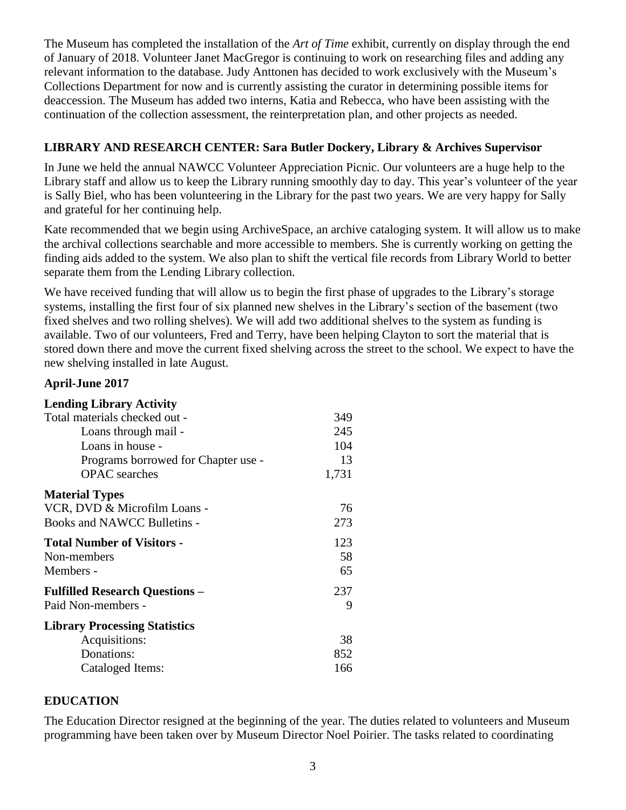The Museum has completed the installation of the *Art of Time* exhibit, currently on display through the end of January of 2018. Volunteer Janet MacGregor is continuing to work on researching files and adding any relevant information to the database. Judy Anttonen has decided to work exclusively with the Museum's Collections Department for now and is currently assisting the curator in determining possible items for deaccession. The Museum has added two interns, Katia and Rebecca, who have been assisting with the continuation of the collection assessment, the reinterpretation plan, and other projects as needed.

### **LIBRARY AND RESEARCH CENTER: Sara Butler Dockery, Library & Archives Supervisor**

In June we held the annual NAWCC Volunteer Appreciation Picnic. Our volunteers are a huge help to the Library staff and allow us to keep the Library running smoothly day to day. This year's volunteer of the year is Sally Biel, who has been volunteering in the Library for the past two years. We are very happy for Sally and grateful for her continuing help.

Kate recommended that we begin using ArchiveSpace, an archive cataloging system. It will allow us to make the archival collections searchable and more accessible to members. She is currently working on getting the finding aids added to the system. We also plan to shift the vertical file records from Library World to better separate them from the Lending Library collection.

We have received funding that will allow us to begin the first phase of upgrades to the Library's storage systems, installing the first four of six planned new shelves in the Library's section of the basement (two fixed shelves and two rolling shelves). We will add two additional shelves to the system as funding is available. Two of our volunteers, Fred and Terry, have been helping Clayton to sort the material that is stored down there and move the current fixed shelving across the street to the school. We expect to have the new shelving installed in late August.

#### **April-June 2017**

| <b>Lending Library Activity</b>       |       |
|---------------------------------------|-------|
| Total materials checked out -         | 349   |
| Loans through mail -                  | 245   |
| Loans in house -                      | 104   |
| Programs borrowed for Chapter use -   | 13    |
| <b>OPAC</b> searches                  | 1,731 |
| <b>Material Types</b>                 |       |
| VCR, DVD & Microfilm Loans -          | 76    |
| Books and NAWCC Bulletins -           | 273   |
| <b>Total Number of Visitors -</b>     | 123   |
| Non-members                           | 58    |
| Members -                             | 65    |
| <b>Fulfilled Research Questions -</b> | 237   |
| Paid Non-members -                    | 9     |
| <b>Library Processing Statistics</b>  |       |
| Acquisitions:                         | 38    |
| Donations:                            | 852   |
| Cataloged Items:                      | 166   |

#### **EDUCATION**

The Education Director resigned at the beginning of the year. The duties related to volunteers and Museum programming have been taken over by Museum Director Noel Poirier. The tasks related to coordinating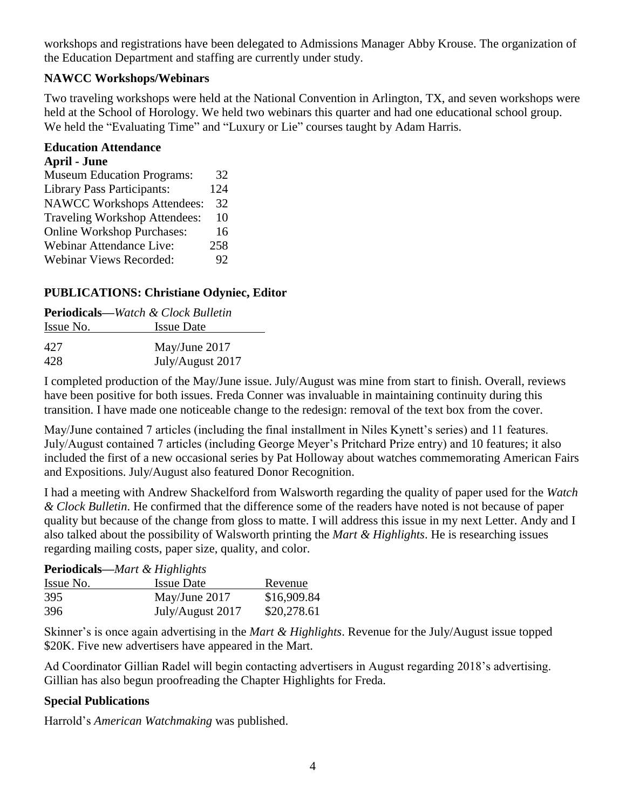workshops and registrations have been delegated to Admissions Manager Abby Krouse. The organization of the Education Department and staffing are currently under study.

### **NAWCC Workshops/Webinars**

Two traveling workshops were held at the National Convention in Arlington, TX, and seven workshops were held at the School of Horology. We held two webinars this quarter and had one educational school group. We held the "Evaluating Time" and "Luxury or Lie" courses taught by Adam Harris.

#### **Education Attendance**

#### **April - June**

| <b>Museum Education Programs:</b>    | 32  |
|--------------------------------------|-----|
| <b>Library Pass Participants:</b>    | 124 |
| <b>NAWCC Workshops Attendees:</b>    | 32  |
| <b>Traveling Workshop Attendees:</b> | 10  |
| <b>Online Workshop Purchases:</b>    | 16  |
| Webinar Attendance Live:             | 258 |
| <b>Webinar Views Recorded:</b>       | 92  |

## **PUBLICATIONS: Christiane Odyniec, Editor**

| <b>Periodicals—Watch &amp; Clock Bulletin</b> |                   |  |  |  |
|-----------------------------------------------|-------------------|--|--|--|
| Issue No.                                     | <b>Issue Date</b> |  |  |  |
| 42.7                                          | May/June 2017     |  |  |  |
| 428                                           | July/August 2017  |  |  |  |

I completed production of the May/June issue. July/August was mine from start to finish. Overall, reviews have been positive for both issues. Freda Conner was invaluable in maintaining continuity during this transition. I have made one noticeable change to the redesign: removal of the text box from the cover.

May/June contained 7 articles (including the final installment in Niles Kynett's series) and 11 features. July/August contained 7 articles (including George Meyer's Pritchard Prize entry) and 10 features; it also included the first of a new occasional series by Pat Holloway about watches commemorating American Fairs and Expositions. July/August also featured Donor Recognition.

I had a meeting with Andrew Shackelford from Walsworth regarding the quality of paper used for the *Watch & Clock Bulletin*. He confirmed that the difference some of the readers have noted is not because of paper quality but because of the change from gloss to matte. I will address this issue in my next Letter. Andy and I also talked about the possibility of Walsworth printing the *Mart & Highlights*. He is researching issues regarding mailing costs, paper size, quality, and color.

| <b>Periodicals</b> —Mart & Highlights |                   |             |  |  |  |
|---------------------------------------|-------------------|-------------|--|--|--|
| Issue No.                             | <b>Issue Date</b> | Revenue     |  |  |  |
| 395                                   | May/June 2017     | \$16,909.84 |  |  |  |
| 396                                   | July/August 2017  | \$20,278.61 |  |  |  |

Skinner's is once again advertising in the *Mart & Highlights*. Revenue for the July/August issue topped \$20K. Five new advertisers have appeared in the Mart.

Ad Coordinator Gillian Radel will begin contacting advertisers in August regarding 2018's advertising. Gillian has also begun proofreading the Chapter Highlights for Freda.

## **Special Publications**

Harrold's *American Watchmaking* was published.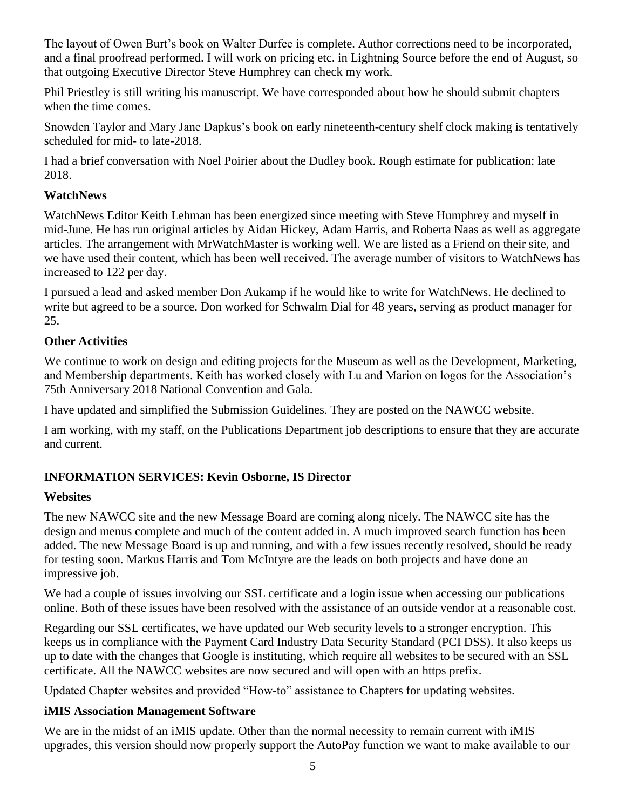The layout of Owen Burt's book on Walter Durfee is complete. Author corrections need to be incorporated, and a final proofread performed. I will work on pricing etc. in Lightning Source before the end of August, so that outgoing Executive Director Steve Humphrey can check my work.

Phil Priestley is still writing his manuscript. We have corresponded about how he should submit chapters when the time comes.

Snowden Taylor and Mary Jane Dapkus's book on early nineteenth-century shelf clock making is tentatively scheduled for mid- to late-2018.

I had a brief conversation with Noel Poirier about the Dudley book. Rough estimate for publication: late 2018.

## **WatchNews**

WatchNews Editor Keith Lehman has been energized since meeting with Steve Humphrey and myself in mid-June. He has run original articles by Aidan Hickey, Adam Harris, and Roberta Naas as well as aggregate articles. The arrangement with MrWatchMaster is working well. We are listed as a Friend on their site, and we have used their content, which has been well received. The average number of visitors to WatchNews has increased to 122 per day.

I pursued a lead and asked member Don Aukamp if he would like to write for WatchNews. He declined to write but agreed to be a source. Don worked for Schwalm Dial for 48 years, serving as product manager for 25.

## **Other Activities**

We continue to work on design and editing projects for the Museum as well as the Development, Marketing, and Membership departments. Keith has worked closely with Lu and Marion on logos for the Association's 75th Anniversary 2018 National Convention and Gala.

I have updated and simplified the Submission Guidelines. They are posted on the NAWCC website.

I am working, with my staff, on the Publications Department job descriptions to ensure that they are accurate and current.

## **INFORMATION SERVICES: Kevin Osborne, IS Director**

#### **Websites**

The new NAWCC site and the new Message Board are coming along nicely. The NAWCC site has the design and menus complete and much of the content added in. A much improved search function has been added. The new Message Board is up and running, and with a few issues recently resolved, should be ready for testing soon. Markus Harris and Tom McIntyre are the leads on both projects and have done an impressive job.

We had a couple of issues involving our SSL certificate and a login issue when accessing our publications online. Both of these issues have been resolved with the assistance of an outside vendor at a reasonable cost.

Regarding our SSL certificates, we have updated our Web security levels to a stronger encryption. This keeps us in compliance with the Payment Card Industry Data Security Standard (PCI DSS). It also keeps us up to date with the changes that Google is instituting, which require all websites to be secured with an SSL certificate. All the NAWCC websites are now secured and will open with an https prefix.

Updated Chapter websites and provided "How-to" assistance to Chapters for updating websites.

#### **iMIS Association Management Software**

We are in the midst of an iMIS update. Other than the normal necessity to remain current with iMIS upgrades, this version should now properly support the AutoPay function we want to make available to our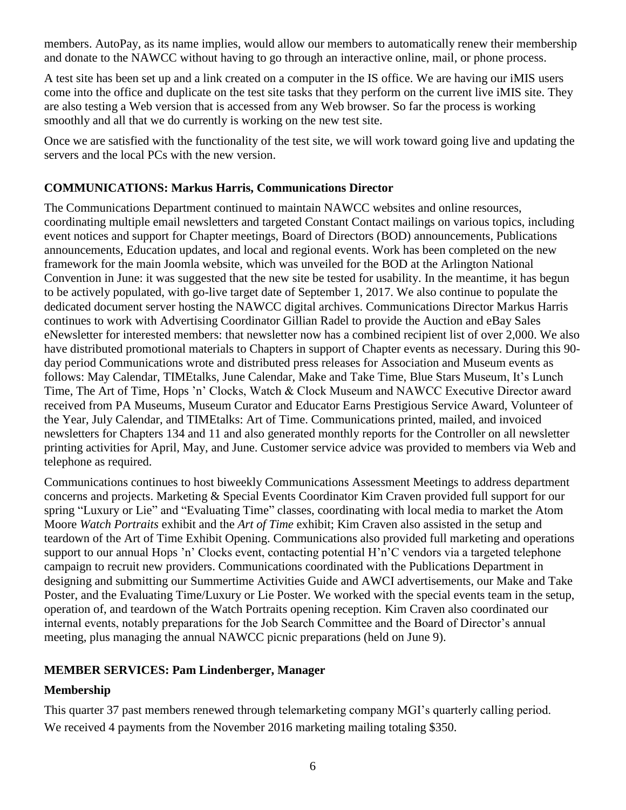members. AutoPay, as its name implies, would allow our members to automatically renew their membership and donate to the NAWCC without having to go through an interactive online, mail, or phone process.

A test site has been set up and a link created on a computer in the IS office. We are having our iMIS users come into the office and duplicate on the test site tasks that they perform on the current live iMIS site. They are also testing a Web version that is accessed from any Web browser. So far the process is working smoothly and all that we do currently is working on the new test site.

Once we are satisfied with the functionality of the test site, we will work toward going live and updating the servers and the local PCs with the new version.

### **COMMUNICATIONS: Markus Harris, Communications Director**

The Communications Department continued to maintain NAWCC websites and online resources, coordinating multiple email newsletters and targeted Constant Contact mailings on various topics, including event notices and support for Chapter meetings, Board of Directors (BOD) announcements, Publications announcements, Education updates, and local and regional events. Work has been completed on the new framework for the main Joomla website, which was unveiled for the BOD at the Arlington National Convention in June: it was suggested that the new site be tested for usability. In the meantime, it has begun to be actively populated, with go-live target date of September 1, 2017. We also continue to populate the dedicated document server hosting the NAWCC digital archives. Communications Director Markus Harris continues to work with Advertising Coordinator Gillian Radel to provide the Auction and eBay Sales eNewsletter for interested members: that newsletter now has a combined recipient list of over 2,000. We also have distributed promotional materials to Chapters in support of Chapter events as necessary. During this 90 day period Communications wrote and distributed press releases for Association and Museum events as follows: May Calendar, TIMEtalks, June Calendar, Make and Take Time, Blue Stars Museum, It's Lunch Time, The Art of Time, Hops 'n' Clocks, Watch & Clock Museum and NAWCC Executive Director award received from PA Museums, Museum Curator and Educator Earns Prestigious Service Award, Volunteer of the Year, July Calendar, and TIMEtalks: Art of Time. Communications printed, mailed, and invoiced newsletters for Chapters 134 and 11 and also generated monthly reports for the Controller on all newsletter printing activities for April, May, and June. Customer service advice was provided to members via Web and telephone as required.

Communications continues to host biweekly Communications Assessment Meetings to address department concerns and projects. Marketing & Special Events Coordinator Kim Craven provided full support for our spring "Luxury or Lie" and "Evaluating Time" classes, coordinating with local media to market the Atom Moore *Watch Portraits* exhibit and the *Art of Time* exhibit; Kim Craven also assisted in the setup and teardown of the Art of Time Exhibit Opening. Communications also provided full marketing and operations support to our annual Hops 'n' Clocks event, contacting potential H'n'C vendors via a targeted telephone campaign to recruit new providers. Communications coordinated with the Publications Department in designing and submitting our Summertime Activities Guide and AWCI advertisements, our Make and Take Poster, and the Evaluating Time/Luxury or Lie Poster. We worked with the special events team in the setup, operation of, and teardown of the Watch Portraits opening reception. Kim Craven also coordinated our internal events, notably preparations for the Job Search Committee and the Board of Director's annual meeting, plus managing the annual NAWCC picnic preparations (held on June 9).

## **MEMBER SERVICES: Pam Lindenberger, Manager**

## **Membership**

This quarter 37 past members renewed through telemarketing company MGI's quarterly calling period. We received 4 payments from the November 2016 marketing mailing totaling \$350.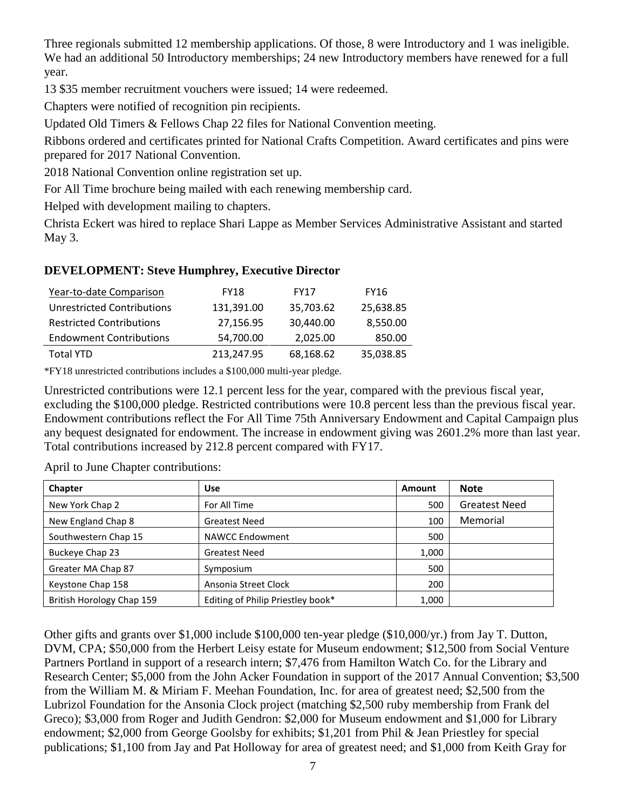Three regionals submitted 12 membership applications. Of those, 8 were Introductory and 1 was ineligible. We had an additional 50 Introductory memberships; 24 new Introductory members have renewed for a full year.

13 \$35 member recruitment vouchers were issued; 14 were redeemed.

Chapters were notified of recognition pin recipients.

Updated Old Timers & Fellows Chap 22 files for National Convention meeting.

Ribbons ordered and certificates printed for National Crafts Competition. Award certificates and pins were prepared for 2017 National Convention.

2018 National Convention online registration set up.

For All Time brochure being mailed with each renewing membership card.

Helped with development mailing to chapters.

Christa Eckert was hired to replace Shari Lappe as Member Services Administrative Assistant and started May 3.

## **DEVELOPMENT: Steve Humphrey, Executive Director**

| Year-to-date Comparison           | <b>FY18</b> | <b>FY17</b> | <b>FY16</b> |
|-----------------------------------|-------------|-------------|-------------|
| <b>Unrestricted Contributions</b> | 131,391.00  | 35,703.62   | 25,638.85   |
| <b>Restricted Contributions</b>   | 27,156.95   | 30,440.00   | 8,550.00    |
| <b>Endowment Contributions</b>    | 54,700.00   | 2,025.00    | 850.00      |
| <b>Total YTD</b>                  | 213.247.95  | 68,168.62   | 35,038.85   |

\*FY18 unrestricted contributions includes a \$100,000 multi-year pledge.

Unrestricted contributions were 12.1 percent less for the year, compared with the previous fiscal year, excluding the \$100,000 pledge. Restricted contributions were 10.8 percent less than the previous fiscal year. Endowment contributions reflect the For All Time 75th Anniversary Endowment and Capital Campaign plus any bequest designated for endowment. The increase in endowment giving was 2601.2% more than last year. Total contributions increased by 212.8 percent compared with FY17.

April to June Chapter contributions:

| Chapter                   | <b>Use</b>                        | Amount | <b>Note</b>          |
|---------------------------|-----------------------------------|--------|----------------------|
| New York Chap 2           | For All Time                      | 500    | <b>Greatest Need</b> |
| New England Chap 8        | <b>Greatest Need</b>              | 100    | Memorial             |
| Southwestern Chap 15      | <b>NAWCC Endowment</b>            | 500    |                      |
| Buckeye Chap 23           | <b>Greatest Need</b>              | 1,000  |                      |
| Greater MA Chap 87        | Symposium                         | 500    |                      |
| Keystone Chap 158         | Ansonia Street Clock              | 200    |                      |
| British Horology Chap 159 | Editing of Philip Priestley book* | 1,000  |                      |

Other gifts and grants over \$1,000 include \$100,000 ten-year pledge (\$10,000/yr.) from Jay T. Dutton, DVM, CPA; \$50,000 from the Herbert Leisy estate for Museum endowment; \$12,500 from Social Venture Partners Portland in support of a research intern; \$7,476 from Hamilton Watch Co. for the Library and Research Center; \$5,000 from the John Acker Foundation in support of the 2017 Annual Convention; \$3,500 from the William M. & Miriam F. Meehan Foundation, Inc. for area of greatest need; \$2,500 from the Lubrizol Foundation for the Ansonia Clock project (matching \$2,500 ruby membership from Frank del Greco); \$3,000 from Roger and Judith Gendron: \$2,000 for Museum endowment and \$1,000 for Library endowment; \$2,000 from George Goolsby for exhibits; \$1,201 from Phil & Jean Priestley for special publications; \$1,100 from Jay and Pat Holloway for area of greatest need; and \$1,000 from Keith Gray for